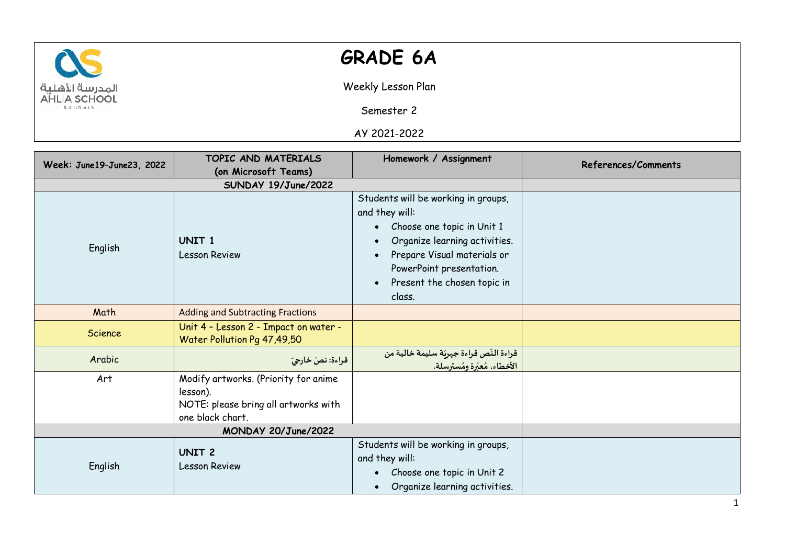

## **GRADE 6A**

Weekly Lesson Plan

Semester 2

AY 2021-2022

| Week: June19-June23, 2022 | TOPIC AND MATERIALS                                                                                          | Homework / Assignment                                                                                                                                                                                                                                           | References/Comments |
|---------------------------|--------------------------------------------------------------------------------------------------------------|-----------------------------------------------------------------------------------------------------------------------------------------------------------------------------------------------------------------------------------------------------------------|---------------------|
|                           | (on Microsoft Teams)                                                                                         |                                                                                                                                                                                                                                                                 |                     |
|                           |                                                                                                              |                                                                                                                                                                                                                                                                 |                     |
| English                   | UNIT <sub>1</sub><br><b>Lesson Review</b>                                                                    | Students will be working in groups,<br>and they will:<br>Choose one topic in Unit 1<br>$\bullet$<br>Organize learning activities.<br>Prepare Visual materials or<br>$\bullet$<br>PowerPoint presentation.<br>Present the chosen topic in<br>$\bullet$<br>class. |                     |
| Math                      | <b>Adding and Subtracting Fractions</b>                                                                      |                                                                                                                                                                                                                                                                 |                     |
| <b>Science</b>            | Unit 4 - Lesson 2 - Impact on water -<br>Water Pollution Pg 47,49,50                                         |                                                                                                                                                                                                                                                                 |                     |
| Arabic                    | قراءة: نصّ خارجيّ                                                                                            | قراءة النّص قراءة جهريّة سليمة خالية من<br>الأخطاء، مُعبّرة ومُسترسلة.                                                                                                                                                                                          |                     |
| Art                       | Modify artworks. (Priority for anime<br>lesson).<br>NOTE: please bring all artworks with<br>one black chart. |                                                                                                                                                                                                                                                                 |                     |
| MONDAY 20/June/2022       |                                                                                                              |                                                                                                                                                                                                                                                                 |                     |
| English                   | <b>UNIT 2</b><br><b>Lesson Review</b>                                                                        | Students will be working in groups,<br>and they will:<br>Choose one topic in Unit 2<br>Organize learning activities.                                                                                                                                            |                     |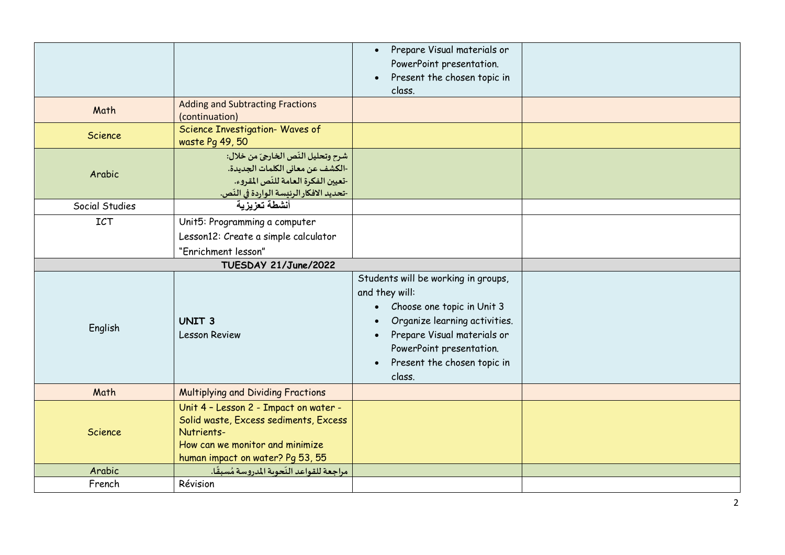|                |                                                                                                                                                                     | Prepare Visual materials or<br>$\bullet$<br>PowerPoint presentation.<br>Present the chosen topic in<br>$\bullet$<br>class.                                                                                                                                      |  |
|----------------|---------------------------------------------------------------------------------------------------------------------------------------------------------------------|-----------------------------------------------------------------------------------------------------------------------------------------------------------------------------------------------------------------------------------------------------------------|--|
| Math           | <b>Adding and Subtracting Fractions</b><br>(continuation)                                                                                                           |                                                                                                                                                                                                                                                                 |  |
| <b>Science</b> | Science Investigation- Waves of<br>waste Pg 49, 50                                                                                                                  |                                                                                                                                                                                                                                                                 |  |
| Arabic         | شرح وتحليل النّص الخارجيّ من خلال:<br>-الكشف عن معاني الكلمات الجديدة.<br>-تعيين الفكرة العامة للنّص المقروء.<br>-تحديد الافكار الرئيسة الواردة في النّص.           |                                                                                                                                                                                                                                                                 |  |
| Social Studies | أنشطة تعزبزبة                                                                                                                                                       |                                                                                                                                                                                                                                                                 |  |
| ICT            | Unit5: Programming a computer<br>Lesson12: Create a simple calculator<br>"Enrichment lesson"                                                                        |                                                                                                                                                                                                                                                                 |  |
|                | TUESDAY 21/June/2022                                                                                                                                                |                                                                                                                                                                                                                                                                 |  |
| English        | <b>UNIT 3</b><br><b>Lesson Review</b>                                                                                                                               | Students will be working in groups,<br>and they will:<br>Choose one topic in Unit 3<br>$\bullet$<br>Organize learning activities.<br>$\bullet$<br>Prepare Visual materials or<br>PowerPoint presentation.<br>Present the chosen topic in<br>$\bullet$<br>class. |  |
| Math           | <b>Multiplying and Dividing Fractions</b>                                                                                                                           |                                                                                                                                                                                                                                                                 |  |
| Science        | Unit 4 - Lesson 2 - Impact on water -<br>Solid waste, Excess sediments, Excess<br>Nutrients-<br>How can we monitor and minimize<br>human impact on water? Pg 53, 55 |                                                                                                                                                                                                                                                                 |  |
| Arabic         | مراجعة للقواعد النّحوية المدروسة مُسبقًا.                                                                                                                           |                                                                                                                                                                                                                                                                 |  |
| French         | Révision                                                                                                                                                            |                                                                                                                                                                                                                                                                 |  |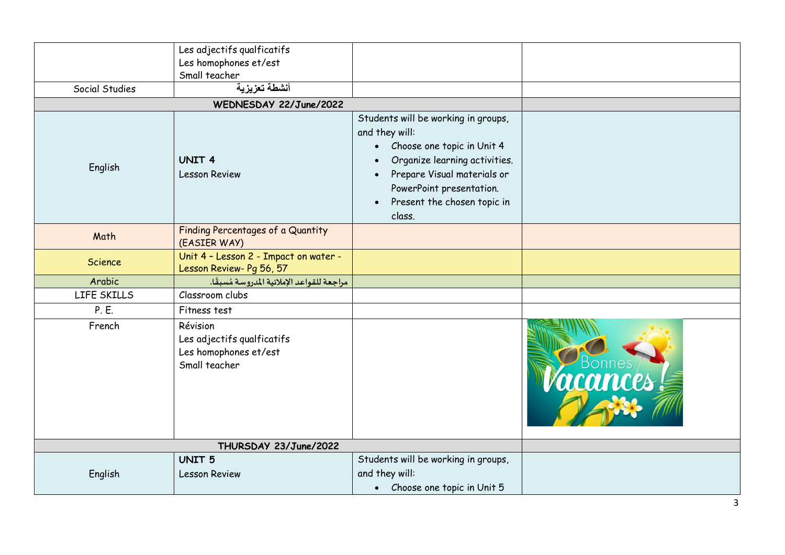|                | Les adjectifs qualficatifs<br>Les homophones et/est                              |                                                                                                                                                                                                                                         |          |
|----------------|----------------------------------------------------------------------------------|-----------------------------------------------------------------------------------------------------------------------------------------------------------------------------------------------------------------------------------------|----------|
|                | Small teacher                                                                    |                                                                                                                                                                                                                                         |          |
| Social Studies | أنشطة تعزيزية                                                                    |                                                                                                                                                                                                                                         |          |
|                | WEDNESDAY 22/June/2022                                                           |                                                                                                                                                                                                                                         |          |
| English        | <b>UNIT 4</b><br><b>Lesson Review</b>                                            | Students will be working in groups,<br>and they will:<br>• Choose one topic in Unit 4<br>Organize learning activities.<br>Prepare Visual materials or<br>PowerPoint presentation.<br>Present the chosen topic in<br>$\bullet$<br>class. |          |
| Math           | Finding Percentages of a Quantity<br>(EASIER WAY)                                |                                                                                                                                                                                                                                         |          |
| Science        | Unit 4 - Lesson 2 - Impact on water -<br>Lesson Review- Pg 56, 57                |                                                                                                                                                                                                                                         |          |
| Arabic         | مراجعة للقواعد الإملائية المدروسة مُسبقًا.                                       |                                                                                                                                                                                                                                         |          |
| LIFE SKILLS    | Classroom clubs                                                                  |                                                                                                                                                                                                                                         |          |
| P. E.          | Fitness test                                                                     |                                                                                                                                                                                                                                         |          |
| French         | Révision<br>Les adjectifs qualficatifs<br>Les homophones et/est<br>Small teacher |                                                                                                                                                                                                                                         | rcances. |
|                |                                                                                  |                                                                                                                                                                                                                                         |          |
|                | <b>UNIT 5</b>                                                                    | Students will be working in groups,                                                                                                                                                                                                     |          |
| English        | <b>Lesson Review</b>                                                             | and they will:                                                                                                                                                                                                                          |          |
|                |                                                                                  | • Choose one topic in Unit 5                                                                                                                                                                                                            |          |